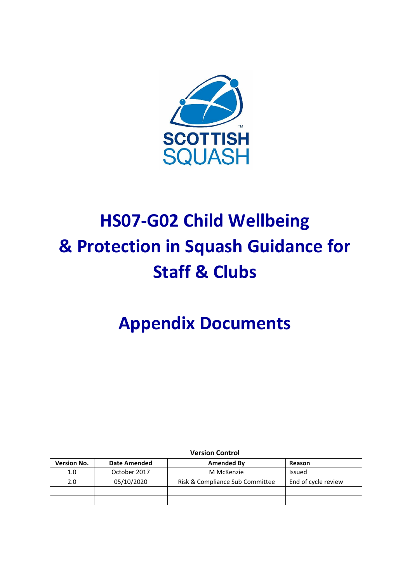

# **HS07-G02 Child Wellbeing & Protection in Squash Guidance for Staff & Clubs**

## **Appendix Documents**

**Version Control**

| <b>Version No.</b> | Date Amended | Amended By                      | Reason              |
|--------------------|--------------|---------------------------------|---------------------|
| 1.0                | October 2017 | M McKenzie                      | Issued              |
| 2.0                | 05/10/2020   | Risk & Compliance Sub Committee | End of cycle review |
|                    |              |                                 |                     |
|                    |              |                                 |                     |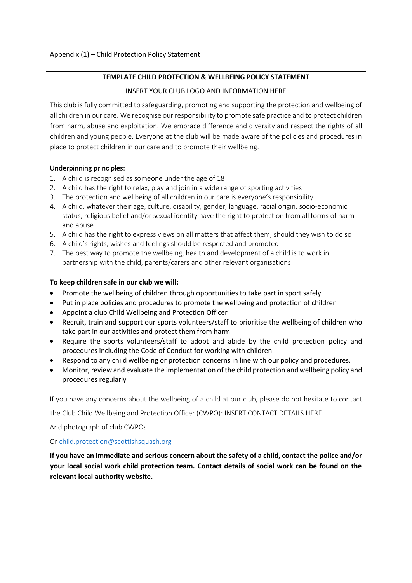#### **TEMPLATE CHILD PROTECTION & WELLBEING POLICY STATEMENT**

#### INSERT YOUR CLUB LOGO AND INFORMATION HERE

This club is fully committed to safeguarding, promoting and supporting the protection and wellbeing of all children in our care. We recognise our responsibility to promote safe practice and to protect children from harm, abuse and exploitation. We embrace difference and diversity and respect the rights of all children and young people. Everyone at the club will be made aware of the policies and procedures in place to protect children in our care and to promote their wellbeing.

#### Underpinning principles:

- 1. A child is recognised as someone under the age of 18
- 2. A child has the right to relax, play and join in a wide range of sporting activities
- 3. The protection and wellbeing of all children in our care is everyone's responsibility
- 4. A child, whatever their age, culture, disability, gender, language, racial origin, socio-economic status, religious belief and/or sexual identity have the right to protection from all forms of harm and abuse
- 5. A child has the right to express views on all matters that affect them, should they wish to do so
- 6. A child's rights, wishes and feelings should be respected and promoted
- 7. The best way to promote the wellbeing, health and development of a child is to work in partnership with the child, parents/carers and other relevant organisations

#### **To keep children safe in our club we will:**

- Promote the wellbeing of children through opportunities to take part in sport safely
- Put in place policies and procedures to promote the wellbeing and protection of children
- Appoint a club Child Wellbeing and Protection Officer
- Recruit, train and support our sports volunteers/staff to prioritise the wellbeing of children who take part in our activities and protect them from harm
- Require the sports volunteers/staff to adopt and abide by the child protection policy and procedures including the Code of Conduct for working with children
- Respond to any child wellbeing or protection concerns in line with our policy and procedures.
- Monitor, review and evaluate the implementation of the child protection and wellbeing policy and procedures regularly

If you have any concerns about the wellbeing of a child at our club, please do not hesitate to contact

the Club Child Wellbeing and Protection Officer (CWPO): INSERT CONTACT DETAILS HERE

And photograph of club CWPOs

O[r child.protection@scottishsquash.org](mailto:child.protection@scottishsquash.org)

**If you have an immediate and serious concern about the safety of a child, contact the police and/or your local social work child protection team. Contact details of social work can be found on the relevant local authority website.**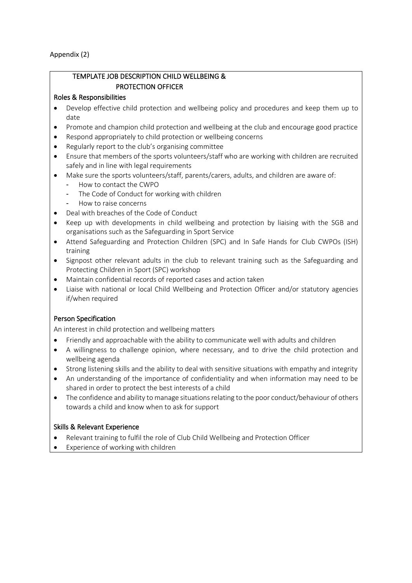Appendix (2)

#### TEMPLATE JOB DESCRIPTION CHILD WELLBEING & PROTECTION OFFICER

#### Roles & Responsibilities

- Develop effective child protection and wellbeing policy and procedures and keep them up to date
- Promote and champion child protection and wellbeing at the club and encourage good practice
- Respond appropriately to child protection or wellbeing concerns
- Regularly report to the club's organising committee
- Ensure that members of the sports volunteers/staff who are working with children are recruited safely and in line with legal requirements
- Make sure the sports volunteers/staff, parents/carers, adults, and children are aware of:
	- How to contact the CWPO
	- The Code of Conduct for working with children
	- How to raise concerns
- Deal with breaches of the Code of Conduct
- Keep up with developments in child wellbeing and protection by liaising with the SGB and organisations such as the Safeguarding in Sport Service
- Attend Safeguarding and Protection Children (SPC) and In Safe Hands for Club CWPOs (ISH) training
- Signpost other relevant adults in the club to relevant training such as the Safeguarding and Protecting Children in Sport (SPC) workshop
- Maintain confidential records of reported cases and action taken
- Liaise with national or local Child Wellbeing and Protection Officer and/or statutory agencies if/when required

## Person Specification

An interest in child protection and wellbeing matters

- Friendly and approachable with the ability to communicate well with adults and children
- A willingness to challenge opinion, where necessary, and to drive the child protection and wellbeing agenda
- Strong listening skills and the ability to deal with sensitive situations with empathy and integrity
- An understanding of the importance of confidentiality and when information may need to be shared in order to protect the best interests of a child
- The confidence and ability to manage situations relating to the poor conduct/behaviour of others towards a child and know when to ask for support

#### Skills & Relevant Experience

- Relevant training to fulfil the role of Club Child Wellbeing and Protection Officer
- Experience of working with children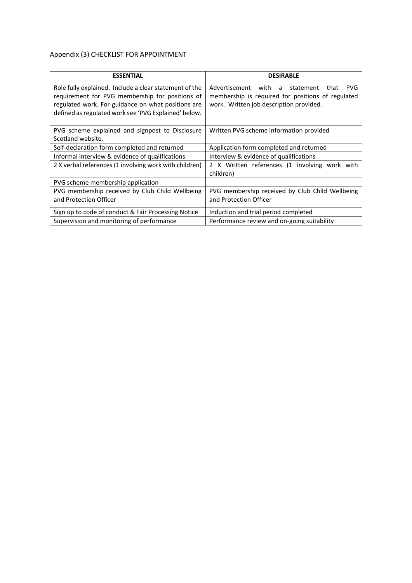## Appendix (3) CHECKLIST FOR APPOINTMENT

| <b>ESSENTIAL</b>                                                                                                                                                                                                        | <b>DESIRABLE</b>                                                                                                                                        |
|-------------------------------------------------------------------------------------------------------------------------------------------------------------------------------------------------------------------------|---------------------------------------------------------------------------------------------------------------------------------------------------------|
| Role fully explained. Include a clear statement of the<br>requirement for PVG membership for positions of<br>regulated work. For guidance on what positions are<br>defined as regulated work see 'PVG Explained' below. | Advertisement with a<br><b>PVG</b><br>statement<br>that<br>membership is required for positions of regulated<br>work. Written job description provided. |
| PVG scheme explained and signpost to Disclosure<br>Scotland website.                                                                                                                                                    | Written PVG scheme information provided                                                                                                                 |
| Self-declaration form completed and returned                                                                                                                                                                            | Application form completed and returned                                                                                                                 |
| Informal interview & evidence of qualifications                                                                                                                                                                         | Interview & evidence of qualifications                                                                                                                  |
| 2 X verbal references (1 involving work with children)                                                                                                                                                                  | 2 X Written references (1 involving work with<br>children)                                                                                              |
| PVG scheme membership application                                                                                                                                                                                       |                                                                                                                                                         |
| PVG membership received by Club Child Wellbeing<br>and Protection Officer                                                                                                                                               | PVG membership received by Club Child Wellbeing<br>and Protection Officer                                                                               |
| Sign up to code of conduct & Fair Processing Notice                                                                                                                                                                     | Induction and trial period completed                                                                                                                    |
| Supervision and monitoring of performance                                                                                                                                                                               | Performance review and on-going suitability                                                                                                             |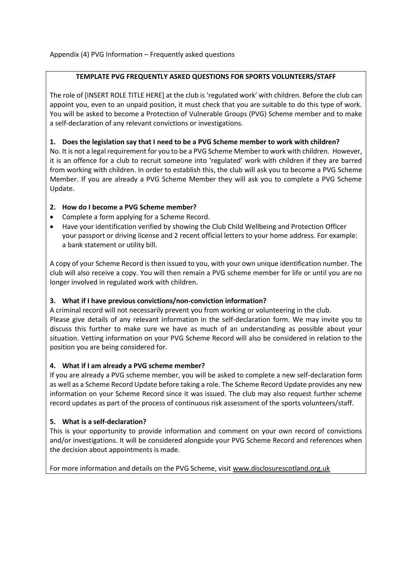#### **TEMPLATE PVG FREQUENTLY ASKED QUESTIONS FOR SPORTS VOLUNTEERS/STAFF**

The role of [INSERT ROLE TITLE HERE] at the club is 'regulated work' with children. Before the club can appoint you, even to an unpaid position, it must check that you are suitable to do this type of work. You will be asked to become a Protection of Vulnerable Groups (PVG) Scheme member and to make a self-declaration of any relevant convictions or investigations.

#### **1. Does the legislation say that I need to be a PVG Scheme member to work with children?**

No. It is not a legal requirement for you to be a PVG Scheme Member to work with children. However, it is an offence for a club to recruit someone into 'regulated' work with children if they are barred from working with children. In order to establish this, the club will ask you to become a PVG Scheme Member. If you are already a PVG Scheme Member they will ask you to complete a PVG Scheme Update.

#### **2. How do I become a PVG Scheme member?**

- Complete a form applying for a Scheme Record.
- Have your identification verified by showing the Club Child Wellbeing and Protection Officer your passport or driving license and 2 recent official letters to your home address. For example: a bank statement or utility bill.

A copy of your Scheme Record is then issued to you, with your own unique identification number. The club will also receive a copy. You will then remain a PVG scheme member for life or until you are no longer involved in regulated work with children.

#### **3. What if I have previous convictions/non-conviction information?**

A criminal record will not necessarily prevent you from working or volunteering in the club. Please give details of any relevant information in the self-declaration form. We may invite you to discuss this further to make sure we have as much of an understanding as possible about your situation. Vetting information on your PVG Scheme Record will also be considered in relation to the position you are being considered for.

#### **4. What if I am already a PVG scheme member?**

If you are already a PVG scheme member, you will be asked to complete a new self-declaration form as well as a Scheme Record Update before taking a role. The Scheme Record Update provides any new information on your Scheme Record since it was issued. The club may also request further scheme record updates as part of the process of continuous risk assessment of the sports volunteers/staff.

## **5. What is a self-declaration?**

This is your opportunity to provide information and comment on your own record of convictions and/or investigations. It will be considered alongside your PVG Scheme Record and references when the decision about appointments is made.

For more information and details on the PVG Scheme, visit [www.disclosurescotland.org.uk](http://www.disclosurescotland.org.uk/)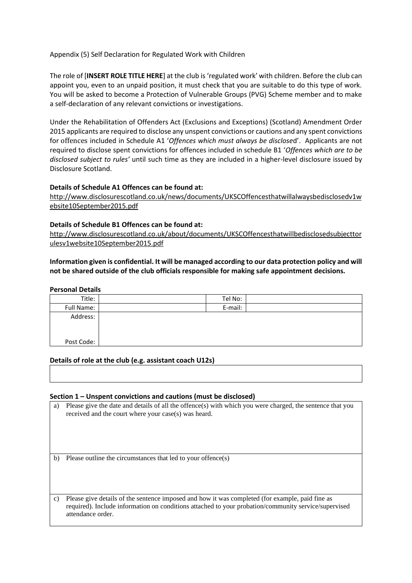#### Appendix (5) Self Declaration for Regulated Work with Children

The role of [**INSERT ROLE TITLE HERE**] at the club is 'regulated work' with children. Before the club can appoint you, even to an unpaid position, it must check that you are suitable to do this type of work. You will be asked to become a Protection of Vulnerable Groups (PVG) Scheme member and to make a self-declaration of any relevant convictions or investigations.

Under the Rehabilitation of Offenders Act (Exclusions and Exceptions) (Scotland) Amendment Order 2015 applicants are required to disclose any unspent convictions or cautions and any spent convictions for offences included in Schedule A1 '*Offences which must always be disclose*d'. Applicants are not required to disclose spent convictions for offences included in schedule B1 '*Offences which are to be disclosed subject to rules'* until such time as they are included in a higher-level disclosure issued by Disclosure Scotland.

#### **Details of Schedule A1 Offences can be found at:**

[http://www.disclosurescotland.co.uk/news/documents/UKSCOffencesthatwillalwaysbedisclosedv1w](http://www.disclosurescotland.co.uk/news/documents/UKSCOffencesthatwillalwaysbedisclosedv1website10September2015.pdf) [ebsite10September2015.pdf](http://www.disclosurescotland.co.uk/news/documents/UKSCOffencesthatwillalwaysbedisclosedv1website10September2015.pdf)

#### **Details of Schedule B1 Offences can be found at:**

[http://www.disclosurescotland.co.uk/about/documents/UKSCOffencesthatwillbedisclosedsubjecttor](http://www.disclosurescotland.co.uk/about/documents/UKSCOffencesthatwillbedisclosedsubjecttorulesv1website10September2015.pdf) [ulesv1website10September2015.pdf](http://www.disclosurescotland.co.uk/about/documents/UKSCOffencesthatwillbedisclosedsubjecttorulesv1website10September2015.pdf)

#### **Information given is confidential. It will be managed according to our data protection policy and will not be shared outside of the club officials responsible for making safe appointment decisions.**

#### **Personal Details**

| Title:     | Tel No: |  |
|------------|---------|--|
| Full Name: | E-mail: |  |
| Address:   |         |  |
|            |         |  |
|            |         |  |
| Post Code: |         |  |
|            |         |  |

#### **Details of role at the club (e.g. assistant coach U12s)**

#### **Section 1 – Unspent convictions and cautions (must be disclosed)**

a) Please give the date and details of all the offence(s) with which you were charged, the sentence that you received and the court where your case(s) was heard.

b) Please outline the circumstances that led to your offence(s)

c) Please give details of the sentence imposed and how it was completed (for example, paid fine as required). Include information on conditions attached to your probation/community service/supervised attendance order.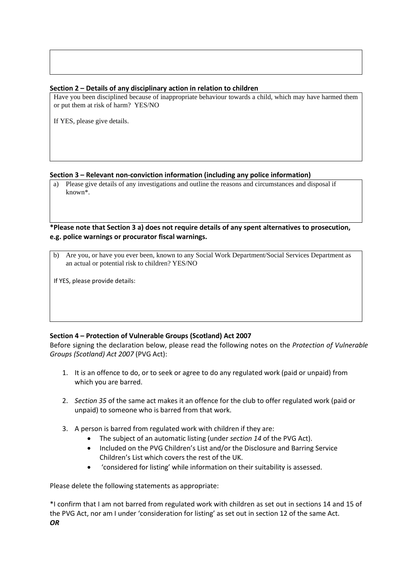#### **Section 2 – Details of any disciplinary action in relation to children**

Have you been disciplined because of inappropriate behaviour towards a child, which may have harmed them or put them at risk of harm? YES/NO

If YES, please give details.

#### **Section 3 – Relevant non-conviction information (including any police information)**

a) Please give details of any investigations and outline the reasons and circumstances and disposal if known\*.

#### **\*Please note that Section 3 a) does not require details of any spent alternatives to prosecution, e.g. police warnings or procurator fiscal warnings.**

b) Are you, or have you ever been, known to any Social Work Department/Social Services Department as an actual or potential risk to children? YES/NO

If YES, please provide details:

#### **Section 4 – Protection of Vulnerable Groups (Scotland) Act 2007**

Before signing the declaration below, please read the following notes on the *Protection of Vulnerable Groups (Scotland) Act 2007* (PVG Act):

- 1. It i*s* an offence to do, or to seek or agree to do any regulated work (paid or unpaid) from which you are barred.
- 2. *Section 35* of the same act makes it an offence for the club to offer regulated work (paid or unpaid) to someone who is barred from that work.
- 3. A person is barred from regulated work with children if they are:
	- The subject of an automatic listing (under *section 14* of the PVG Act).
	- Included on the PVG Children's List and/or the Disclosure and Barring Service Children's List which covers the rest of the UK.
	- 'considered for listing' while information on their suitability is assessed.

Please delete the following statements as appropriate:

\*I confirm that I am not barred from regulated work with children as set out in sections 14 and 15 of the PVG Act, nor am I under 'consideration for listing' as set out in section 12 of the same Act. *OR*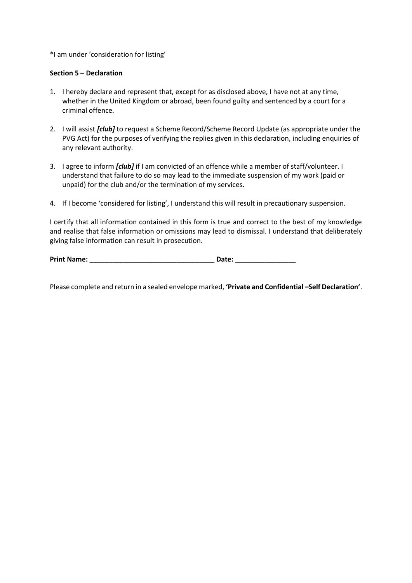#### \*I am under 'consideration for listing'

#### **Section 5 – Declaration**

- 1. I hereby declare and represent that, except for as disclosed above, I have not at any time, whether in the United Kingdom or abroad, been found guilty and sentenced by a court for a criminal offence.
- 2. I will assist *[club]* to request a Scheme Record/Scheme Record Update (as appropriate under the PVG Act) for the purposes of verifying the replies given in this declaration, including enquiries of any relevant authority.
- 3. I agree to inform *[club]* if I am convicted of an offence while a member of staff/volunteer. I understand that failure to do so may lead to the immediate suspension of my work (paid or unpaid) for the club and/or the termination of my services.
- 4. If I become 'considered for listing', I understand this will result in precautionary suspension.

I certify that all information contained in this form is true and correct to the best of my knowledge and realise that false information or omissions may lead to dismissal. I understand that deliberately giving false information can result in prosecution.

**Print Name:** \_\_\_\_\_\_\_\_\_\_\_\_\_\_\_\_\_\_\_\_\_\_\_\_\_\_\_\_\_\_\_\_\_ **Date:** \_\_\_\_\_\_\_\_\_\_\_\_\_\_\_\_

Please complete and return in a sealed envelope marked, **'Private and Confidential –Self Declaration'**.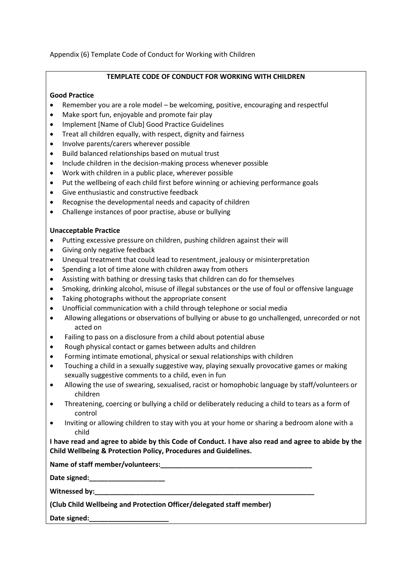Appendix (6) Template Code of Conduct for Working with Children

#### **TEMPLATE CODE OF CONDUCT FOR WORKING WITH CHILDREN**

#### **Good Practice**

- Remember you are a role model be welcoming, positive, encouraging and respectful
- Make sport fun, enjoyable and promote fair play
- Implement [Name of Club] Good Practice Guidelines
- Treat all children equally, with respect, dignity and fairness
- Involve parents/carers wherever possible
- Build balanced relationships based on mutual trust
- Include children in the decision-making process whenever possible
- Work with children in a public place, wherever possible
- Put the wellbeing of each child first before winning or achieving performance goals
- Give enthusiastic and constructive feedback
- Recognise the developmental needs and capacity of children
- Challenge instances of poor practise, abuse or bullying

#### **Unacceptable Practice**

- Putting excessive pressure on children, pushing children against their will
- Giving only negative feedback
- Unequal treatment that could lead to resentment, jealousy or misinterpretation
- Spending a lot of time alone with children away from others
- Assisting with bathing or dressing tasks that children can do for themselves
- Smoking, drinking alcohol, misuse of illegal substances or the use of foul or offensive language
- Taking photographs without the appropriate consent
- Unofficial communication with a child through telephone or social media
- Allowing allegations or observations of bullying or abuse to go unchallenged, unrecorded or not acted on
- Failing to pass on a disclosure from a child about potential abuse
- Rough physical contact or games between adults and children
- Forming intimate emotional, physical or sexual relationships with children
- Touching a child in a sexually suggestive way, playing sexually provocative games or making sexually suggestive comments to a child, even in fun
- Allowing the use of swearing, sexualised, racist or homophobic language by staff/volunteers or children
- Threatening, coercing or bullying a child or deliberately reducing a child to tears as a form of control
- Inviting or allowing children to stay with you at your home or sharing a bedroom alone with a child

**I have read and agree to abide by this Code of Conduct. I have also read and agree to abide by the Child Wellbeing & Protection Policy, Procedures and Guidelines.** 

**Name of staff member/volunteers:\_\_\_\_\_\_\_\_\_\_\_\_\_\_\_\_\_\_\_\_\_\_\_\_\_\_\_\_\_\_\_\_\_\_\_\_\_\_\_\_**

**Date signed:\_\_\_\_\_\_\_\_\_\_\_\_\_\_\_\_\_\_\_\_**

Witnessed by:

**(Club Child Wellbeing and Protection Officer/delegated staff member)**

Date signed: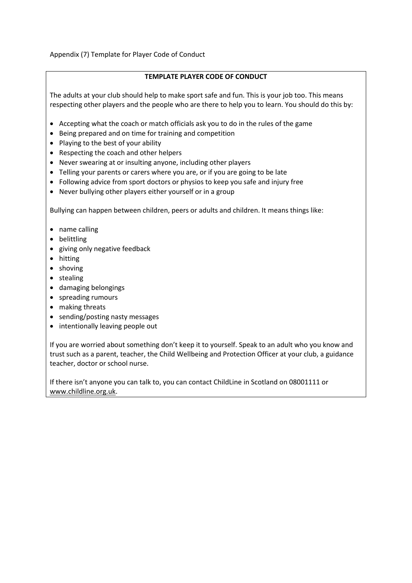Appendix (7) Template for Player Code of Conduct

#### **TEMPLATE PLAYER CODE OF CONDUCT**

The adults at your club should help to make sport safe and fun. This is your job too. This means respecting other players and the people who are there to help you to learn. You should do this by:

- Accepting what the coach or match officials ask you to do in the rules of the game
- Being prepared and on time for training and competition
- Playing to the best of your ability
- Respecting the coach and other helpers
- Never swearing at or insulting anyone, including other players
- Telling your parents or carers where you are, or if you are going to be late
- Following advice from sport doctors or physios to keep you safe and injury free
- Never bullying other players either yourself or in a group

Bullying can happen between children, peers or adults and children. It means things like:

- name calling
- belittling
- giving only negative feedback
- hitting
- shoving
- stealing
- damaging belongings
- spreading rumours
- making threats
- sending/posting nasty messages
- intentionally leaving people out

If you are worried about something don't keep it to yourself. Speak to an adult who you know and trust such as a parent, teacher, the Child Wellbeing and Protection Officer at your club, a guidance teacher, doctor or school nurse.

If there isn't anyone you can talk to, you can contact ChildLine in Scotland on 08001111 or [www.childline.org.uk.](http://www.childline.org.uk/)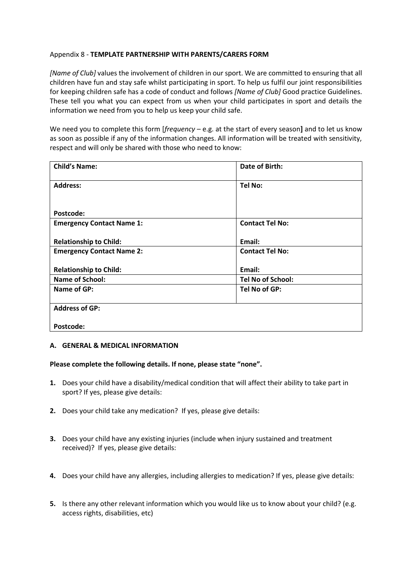#### Appendix 8 - **TEMPLATE PARTNERSHIP WITH PARENTS/CARERS FORM**

*[Name of Club]* values the involvement of children in our sport. We are committed to ensuring that all children have fun and stay safe whilst participating in sport. To help us fulfil our joint responsibilities for keeping children safe has a code of conduct and follows *[Name of Club]* Good practice Guidelines. These tell you what you can expect from us when your child participates in sport and details the information we need from you to help us keep your child safe.

We need you to complete this form [*frequency* – e.g. at the start of every season**]** and to let us know as soon as possible if any of the information changes. All information will be treated with sensitivity, respect and will only be shared with those who need to know:

| <b>Child's Name:</b>             | Date of Birth:           |
|----------------------------------|--------------------------|
| <b>Address:</b>                  | Tel No:                  |
|                                  |                          |
| Postcode:                        |                          |
| <b>Emergency Contact Name 1:</b> | <b>Contact Tel No:</b>   |
|                                  | Email:                   |
| <b>Relationship to Child:</b>    |                          |
| <b>Emergency Contact Name 2:</b> | <b>Contact Tel No:</b>   |
|                                  |                          |
| <b>Relationship to Child:</b>    | Email:                   |
| <b>Name of School:</b>           | <b>Tel No of School:</b> |
| Name of GP:                      | Tel No of GP:            |
|                                  |                          |
| <b>Address of GP:</b>            |                          |
|                                  |                          |
| Postcode:                        |                          |

#### **A. GENERAL & MEDICAL INFORMATION**

#### **Please complete the following details. If none, please state "none".**

- **1.** Does your child have a disability/medical condition that will affect their ability to take part in sport? If yes, please give details:
- **2.** Does your child take any medication? If yes, please give details:
- **3.** Does your child have any existing injuries (include when injury sustained and treatment received)? If yes, please give details:
- **4.** Does your child have any allergies, including allergies to medication? If yes, please give details:
- **5.** Is there any other relevant information which you would like us to know about your child? (e.g. access rights, disabilities, etc)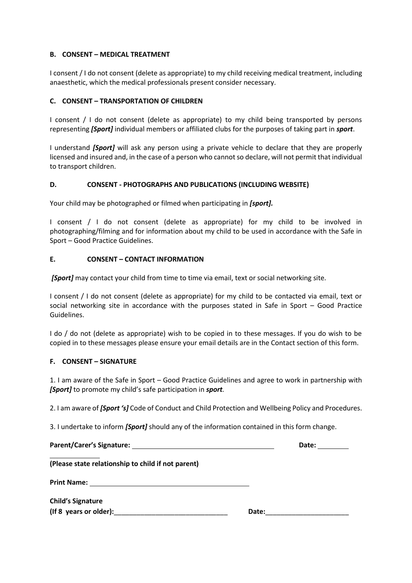#### **B. CONSENT – MEDICAL TREATMENT**

I consent / I do not consent (delete as appropriate) to my child receiving medical treatment, including anaesthetic, which the medical professionals present consider necessary.

#### **C. CONSENT – TRANSPORTATION OF CHILDREN**

I consent / I do not consent (delete as appropriate) to my child being transported by persons representing *[Sport]* individual members or affiliated clubs for the purposes of taking part in *sport*.

I understand *[Sport]* will ask any person using a private vehicle to declare that they are properly licensed and insured and, in the case of a person who cannot so declare, will not permit that individual to transport children.

#### **D. CONSENT - PHOTOGRAPHS AND PUBLICATIONS (INCLUDING WEBSITE)**

Your child may be photographed or filmed when participating in *[sport].*

I consent / I do not consent (delete as appropriate) for my child to be involved in photographing/filming and for information about my child to be used in accordance with the Safe in Sport – Good Practice Guidelines.

#### **E. CONSENT – CONTACT INFORMATION**

*[Sport]* may contact your child from time to time via email, text or social networking site*.*

I consent / I do not consent (delete as appropriate) for my child to be contacted via email, text or social networking site in accordance with the purposes stated in Safe in Sport – Good Practice Guidelines.

I do / do not (delete as appropriate) wish to be copied in to these messages. If you do wish to be copied in to these messages please ensure your email details are in the Contact section of this form.

#### **F. CONSENT – SIGNATURE**

1. I am aware of the Safe in Sport – Good Practice Guidelines and agree to work in partnership with *[Sport]* to promote my child's safe participation in *sport.* 

2. I am aware of *[Sport 's]* Code of Conduct and Child Protection and Wellbeing Policy and Procedures.

3. I undertake to inform *[Sport]* should any of the information contained in this form change.

|                                                    |       | Date: |
|----------------------------------------------------|-------|-------|
| (Please state relationship to child if not parent) |       |       |
|                                                    |       |       |
| <b>Child's Signature</b>                           |       |       |
| $($ If 8 years or older $)$ :                      | Date: |       |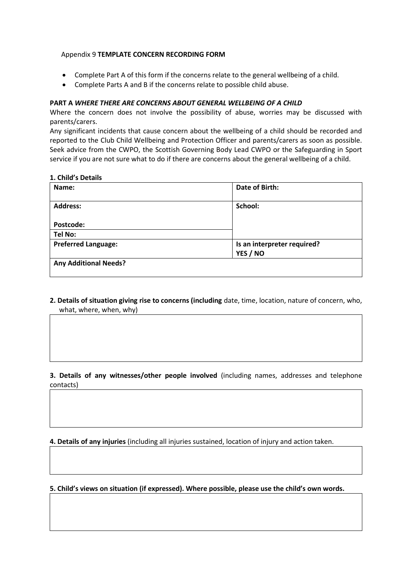#### Appendix 9 **TEMPLATE CONCERN RECORDING FORM**

- Complete Part A of this form if the concerns relate to the general wellbeing of a child.
- Complete Parts A and B if the concerns relate to possible child abuse.

#### **PART A** *WHERE THERE ARE CONCERNS ABOUT GENERAL WELLBEING OF A CHILD*

Where the concern does not involve the possibility of abuse, worries may be discussed with parents/carers.

Any significant incidents that cause concern about the wellbeing of a child should be recorded and reported to the Club Child Wellbeing and Protection Officer and parents/carers as soon as possible. Seek advice from the CWPO, the Scottish Governing Body Lead CWPO or the Safeguarding in Sport service if you are not sure what to do if there are concerns about the general wellbeing of a child.

#### **1. Child's Details**

| Name:                        | Date of Birth:              |
|------------------------------|-----------------------------|
|                              |                             |
| <b>Address:</b>              | School:                     |
|                              |                             |
| Postcode:                    |                             |
| <b>Tel No:</b>               |                             |
| <b>Preferred Language:</b>   | Is an interpreter required? |
|                              | YES / NO                    |
| <b>Any Additional Needs?</b> |                             |
|                              |                             |

**2. Details of situation giving rise to concerns (including** date, time, location, nature of concern, who, what, where, when, why)

**3. Details of any witnesses/other people involved** (including names, addresses and telephone contacts)

**4. Details of any injuries** (including all injuries sustained, location of injury and action taken.

**5. Child's views on situation (if expressed). Where possible, please use the child's own words.**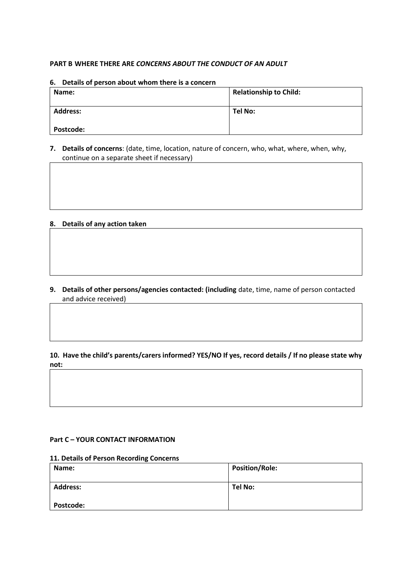#### **PART B WHERE THERE ARE** *CONCERNS ABOUT THE CONDUCT OF AN ADULT*

#### **6. Details of person about whom there is a concern**

| Name:            | <b>Relationship to Child:</b> |
|------------------|-------------------------------|
| <b>Address:</b>  | Tel No:                       |
| <b>Postcode:</b> |                               |

#### **7. Details of concerns**: (date, time, location, nature of concern, who, what, where, when, why, continue on a separate sheet if necessary)

#### **8. Details of any action taken**

**9. Details of other persons/agencies contacted: (including** date, time, name of person contacted and advice received)

#### **10. Have the child's parents/carers informed? YES/NO If yes, record details / If no please state why not:**

#### **Part C – YOUR CONTACT INFORMATION**

#### **11. Details of Person Recording Concerns**

| Name:            | <b>Position/Role:</b> |
|------------------|-----------------------|
| <b>Address:</b>  | <b>Tel No:</b>        |
| <b>Postcode:</b> |                       |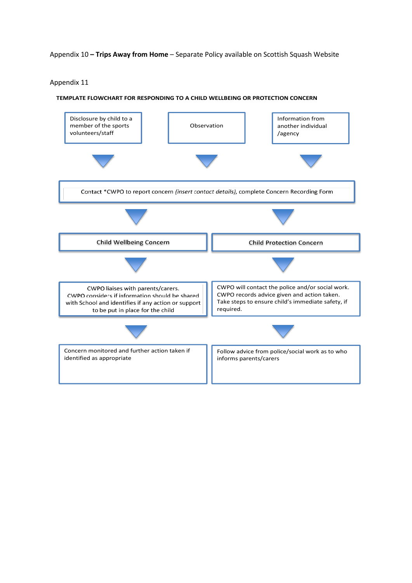#### Appendix 10 **– Trips Away from Home** – Separate Policy available on Scottish Squash Website

Appendix 11

#### **TEMPLATE FLOWCHART FOR RESPONDING TO A CHILD WELLBEING OR PROTECTION CONCERN**

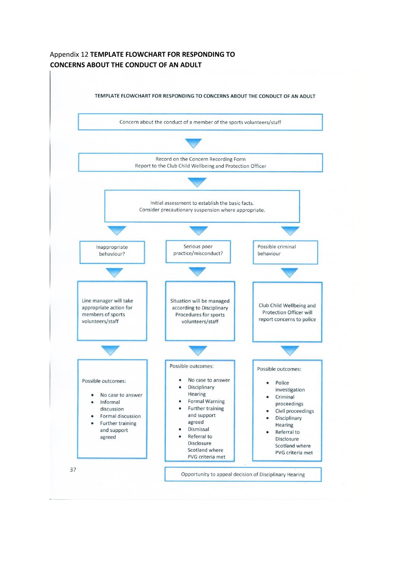#### Appendix 12 **TEMPLATE FLOWCHART FOR RESPONDING TO CONCERNS ABOUT THE CONDUCT OF AN ADULT**

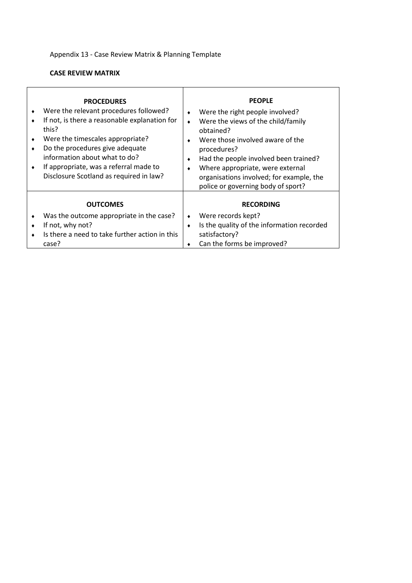## Appendix 13 - Case Review Matrix & Planning Template

#### **CASE REVIEW MATRIX**

| ٠ | <b>PROCEDURES</b><br>Were the relevant procedures followed?<br>If not, is there a reasonable explanation for<br>this?<br>Were the timescales appropriate?<br>Do the procedures give adequate<br>information about what to do?<br>If appropriate, was a referral made to<br>Disclosure Scotland as required in law? |        | <b>PEOPLE</b><br>Were the right people involved?<br>Were the views of the child/family<br>obtained?<br>Were those involved aware of the<br>procedures?<br>Had the people involved been trained?<br>Where appropriate, were external<br>organisations involved; for example, the<br>police or governing body of sport? |
|---|--------------------------------------------------------------------------------------------------------------------------------------------------------------------------------------------------------------------------------------------------------------------------------------------------------------------|--------|-----------------------------------------------------------------------------------------------------------------------------------------------------------------------------------------------------------------------------------------------------------------------------------------------------------------------|
|   | <b>OUTCOMES</b><br>Was the outcome appropriate in the case?<br>If not, why not?<br>Is there a need to take further action in this<br>case?                                                                                                                                                                         | ۰<br>٠ | <b>RECORDING</b><br>Were records kept?<br>Is the quality of the information recorded<br>satisfactory?<br>Can the forms be improved?                                                                                                                                                                                   |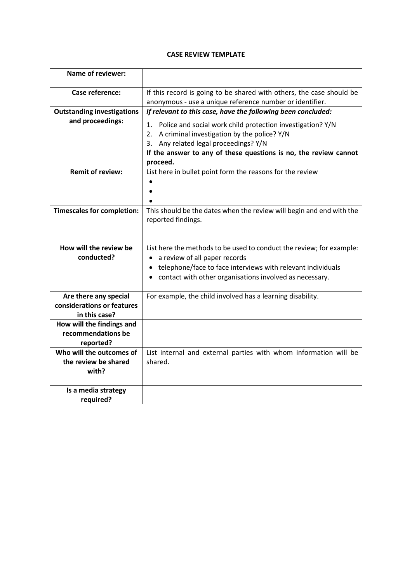#### **CASE REVIEW TEMPLATE**

| Name of reviewer:                 |                                                                                            |
|-----------------------------------|--------------------------------------------------------------------------------------------|
| Case reference:                   | If this record is going to be shared with others, the case should be                       |
|                                   | anonymous - use a unique reference number or identifier.                                   |
| <b>Outstanding investigations</b> | If relevant to this case, have the following been concluded:                               |
| and proceedings:                  | Police and social work child protection investigation? Y/N<br>1.                           |
|                                   | 2.<br>A criminal investigation by the police? Y/N                                          |
|                                   | 3. Any related legal proceedings? Y/N                                                      |
|                                   | If the answer to any of these questions is no, the review cannot                           |
|                                   | proceed.                                                                                   |
| <b>Remit of review:</b>           | List here in bullet point form the reasons for the review                                  |
|                                   |                                                                                            |
|                                   |                                                                                            |
|                                   |                                                                                            |
| <b>Timescales for completion:</b> | This should be the dates when the review will begin and end with the<br>reported findings. |
| How will the review be            | List here the methods to be used to conduct the review; for example:                       |
| conducted?                        | a review of all paper records                                                              |
|                                   | • telephone/face to face interviews with relevant individuals                              |
|                                   | contact with other organisations involved as necessary.                                    |
|                                   |                                                                                            |
| Are there any special             | For example, the child involved has a learning disability.                                 |
| considerations or features        |                                                                                            |
| in this case?                     |                                                                                            |
| How will the findings and         |                                                                                            |
| recommendations be                |                                                                                            |
| reported?                         |                                                                                            |
| Who will the outcomes of          | List internal and external parties with whom information will be                           |
| the review be shared              | shared.                                                                                    |
| with?                             |                                                                                            |
| Is a media strategy               |                                                                                            |
| required?                         |                                                                                            |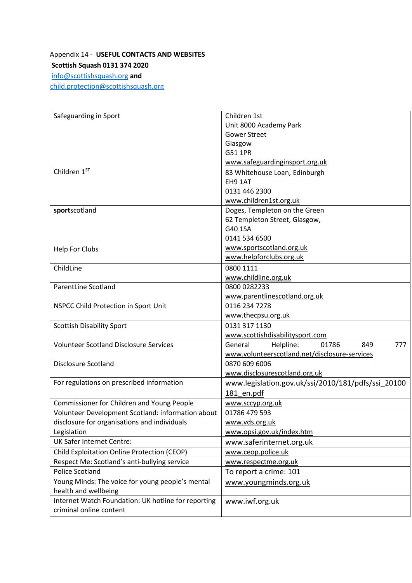## Appendix 14 - **USEFUL CONTACTS AND WEBSITES Scottish Squash 0131 374 2020**

[info@scottishsquash.org](mailto:info@scottishsquash.org) **and**  [child.protection@scottishsquash.org](mailto:child.protection@scottishsquash.org)

| Safeguarding in Sport                               | Children 1st                                       |
|-----------------------------------------------------|----------------------------------------------------|
|                                                     | Unit 8000 Academy Park                             |
|                                                     | <b>Gower Street</b>                                |
|                                                     | Glasgow                                            |
|                                                     | G51 1PR                                            |
|                                                     | www.safeguardinginsport.org.uk                     |
| Children 1ST                                        | 83 Whitehouse Loan, Edinburgh                      |
|                                                     | EH9 1AT                                            |
|                                                     | 0131 446 2300                                      |
|                                                     | www.children1st.org.uk                             |
| sportscotland                                       | Doges, Templeton on the Green                      |
|                                                     | 62 Templeton Street, Glasgow,                      |
|                                                     | G40 1SA                                            |
|                                                     | 0141 534 6500                                      |
| Help For Clubs                                      | www.sportscotland.org.uk                           |
|                                                     | www.helpforclubs.org.uk                            |
| ChildLine                                           | 0800 1111                                          |
|                                                     | www.childline.org.uk                               |
| <b>ParentLine Scotland</b>                          | 0800 0282233                                       |
|                                                     | www.parentlinescotland.org.uk                      |
| NSPCC Child Protection in Sport Unit                | 0116 234 7278                                      |
|                                                     | www.thecpsu.org.uk                                 |
| <b>Scottish Disability Sport</b>                    | 0131 317 1130                                      |
|                                                     | www.scottishdisabilitysport.com                    |
| <b>Volunteer Scotland Disclosure Services</b>       | 777<br>General<br>Helpline:<br>01786<br>849        |
|                                                     | www.volunteerscotland.net/disclosure-services      |
| <b>Disclosure Scotland</b>                          | 0870 609 6006                                      |
|                                                     | www.disclosurescotland.org.uk                      |
| For regulations on prescribed information           | www.legislation.gov.uk/ssi/2010/181/pdfs/ssi 20100 |
|                                                     | 181 en.pdf                                         |
| Commissioner for Children and Young People          | www.sccyp.org.uk                                   |
| Volunteer Development Scotland: information about   | 01786 479 593                                      |
| disclosure for organisations and individuals        | www.vds.org.uk                                     |
| Legislation                                         | www.opsi.gov.uk/index.htm                          |
| <b>UK Safer Internet Centre:</b>                    | www.saferinternet.org.uk                           |
| Child Exploitation Online Protection (CEOP)         | www.ceop.police.uk                                 |
| Respect Me: Scotland's anti-bullying service        | www.respectme.org.uk                               |
| Police Scotland                                     | To report a crime: 101                             |
| Young Minds: The voice for young people's mental    | www.youngminds.org.uk                              |
| health and wellbeing                                |                                                    |
| Internet Watch Foundation: UK hotline for reporting | www.iwf.org.uk                                     |
| criminal online content                             |                                                    |
|                                                     |                                                    |